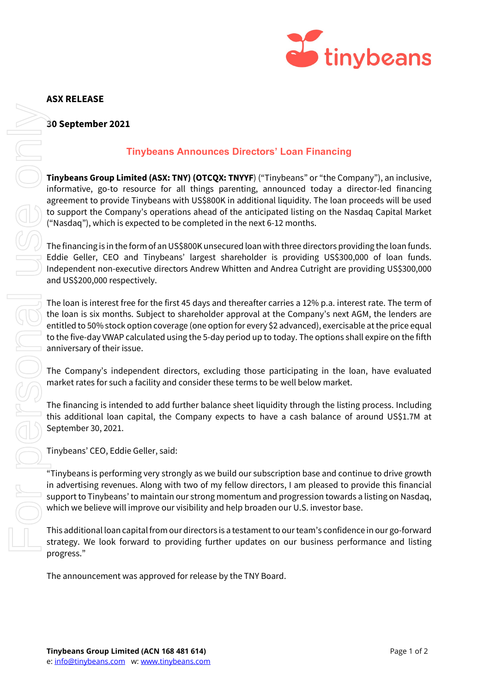

## **ASX RELEASE**

## **30 September 2021**

# **Tinybeans Announces Directors' Loan Financing**

**Tinybeans Group Limited (ASX: TNY) (OTCQX: TNYYF**) ("Tinybeans" or "the Company"), an inclusive, informative, go-to resource for all things parenting, announced today a director-led financing agreement to provide Tinybeans with US\$800K in additional liquidity. The loan proceeds will be used to support the Company's operations ahead of the anticipated listing on the Nasdaq Capital Market ("Nasdaq"), which is expected to be completed in the next 6-12 months.

The financing is in the form of an US\$800K unsecured loan with three directors providing the loan funds. Eddie Geller, CEO and Tinybeans' largest shareholder is providing US\$300,000 of loan funds. Independent non-executive directors Andrew Whitten and Andrea Cutright are providing US\$300,000 and US\$200,000 respectively.

The loan is interest free for the first 45 days and thereafter carries a 12% p.a. interest rate. The term of the loan is six months. Subject to shareholder approval at the Company's next AGM, the lenders are entitled to 50% stock option coverage (one option for every \$2 advanced), exercisable at the price equal to the five-day VWAP calculated using the 5-day period up to today. The options shall expire on the fifth anniversary of their issue.

The Company's independent directors, excluding those participating in the loan, have evaluated market rates for such a facility and consider these terms to be well below market.

The financing is intended to add further balance sheet liquidity through the listing process. Including this additional loan capital, the Company expects to have a cash balance of around US\$1.7M at September 30, 2021.

Tinybeans' CEO, Eddie Geller, said:

"Tinybeans is performing very strongly as we build our subscription base and continue to drive growth in advertising revenues. Along with two of my fellow directors, I am pleased to provide this financial support to Tinybeans' to maintain our strong momentum and progression towards a listing on Nasdaq, which we believe will improve our visibility and help broaden our U.S. investor base.

This additional loan capital from our directors is a testament to our team's confidence in our go-forward strategy. We look forward to providing further updates on our business performance and listing progress."